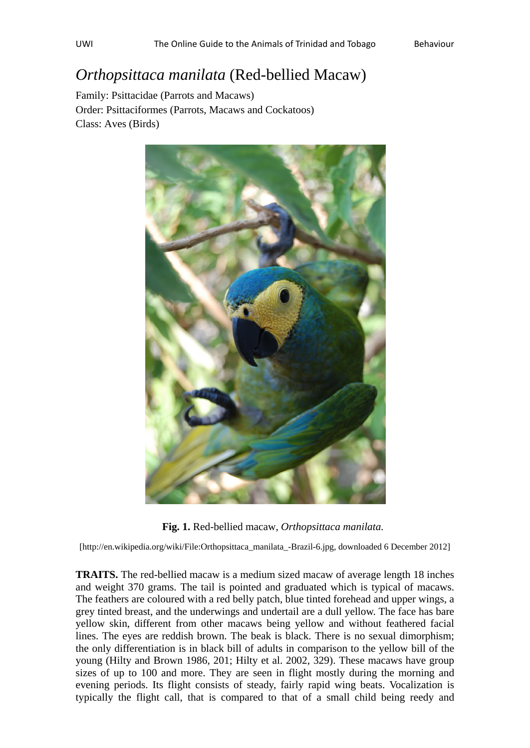## *Orthopsittaca manilata* (Red-bellied Macaw)

Family: Psittacidae (Parrots and Macaws) Order: Psittaciformes (Parrots, Macaws and Cockatoos) Class: Aves (Birds)



**Fig. 1.** Red-bellied macaw, *Orthopsittaca manilata.* 

[http://en.wikipedia.org/wiki/File:Orthopsittaca\_manilata\_-Brazil-6.jpg, downloaded 6 December 2012]

**TRAITS.** The red-bellied macaw is a medium sized macaw of average length 18 inches and weight 370 grams. The tail is pointed and graduated which is typical of macaws. The feathers are coloured with a red belly patch, blue tinted forehead and upper wings, a grey tinted breast, and the underwings and undertail are a dull yellow. The face has bare yellow skin, different from other macaws being yellow and without feathered facial lines. The eyes are reddish brown. The beak is black. There is no sexual dimorphism; the only differentiation is in black bill of adults in comparison to the yellow bill of the young (Hilty and Brown 1986, 201; Hilty et al. 2002, 329). These macaws have group sizes of up to 100 and more. They are seen in flight mostly during the morning and evening periods. Its flight consists of steady, fairly rapid wing beats. Vocalization is typically the flight call, that is compared to that of a small child being reedy and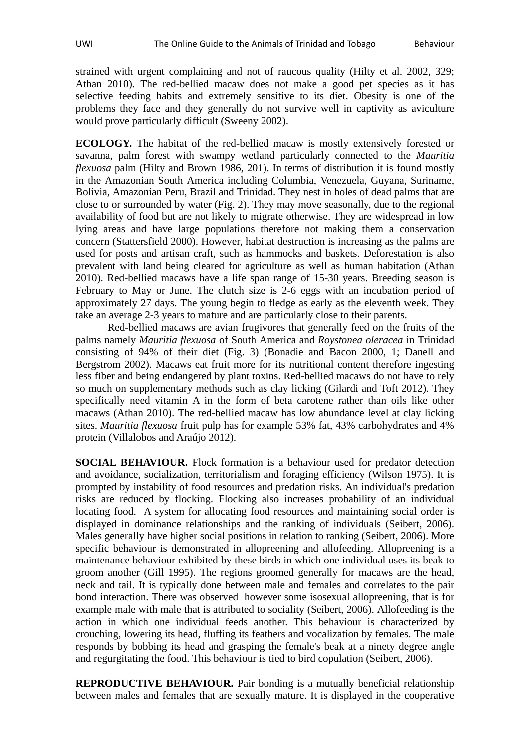strained with urgent complaining and not of raucous quality (Hilty et al. 2002, 329; Athan 2010). The red-bellied macaw does not make a good pet species as it has selective feeding habits and extremely sensitive to its diet. Obesity is one of the problems they face and they generally do not survive well in captivity as aviculture would prove particularly difficult (Sweeny 2002).

**ECOLOGY.** The habitat of the red-bellied macaw is mostly extensively forested or savanna, palm forest with swampy wetland particularly connected to the *Mauritia flexuosa* palm (Hilty and Brown 1986, 201). In terms of distribution it is found mostly in the Amazonian South America including Columbia, Venezuela, Guyana, Suriname, Bolivia, Amazonian Peru, Brazil and Trinidad. They nest in holes of dead palms that are close to or surrounded by water (Fig. 2). They may move seasonally, due to the regional availability of food but are not likely to migrate otherwise. They are widespread in low lying areas and have large populations therefore not making them a conservation concern (Stattersfield 2000). However, habitat destruction is increasing as the palms are used for posts and artisan craft, such as hammocks and baskets. Deforestation is also prevalent with land being cleared for agriculture as well as human habitation (Athan 2010). Red-bellied macaws have a life span range of 15-30 years. Breeding season is February to May or June. The clutch size is 2-6 eggs with an incubation period of approximately 27 days. The young begin to fledge as early as the eleventh week. They take an average 2-3 years to mature and are particularly close to their parents.

Red-bellied macaws are avian frugivores that generally feed on the fruits of the palms namely *Mauritia flexuosa* of South America and *Roystonea oleracea* in Trinidad consisting of 94% of their diet (Fig. 3) (Bonadie and Bacon 2000, 1; Danell and Bergstrom 2002). Macaws eat fruit more for its nutritional content therefore ingesting less fiber and being endangered by plant toxins. Red-bellied macaws do not have to rely so much on supplementary methods such as clay licking (Gilardi and Toft 2012). They specifically need vitamin A in the form of beta carotene rather than oils like other macaws (Athan 2010). The red-bellied macaw has low abundance level at clay licking sites. *Mauritia flexuosa* fruit pulp has for example 53% fat, 43% carbohydrates and 4% protein (Villalobos and Araújo 2012).

**SOCIAL BEHAVIOUR.** Flock formation is a behaviour used for predator detection and avoidance, socialization, territorialism and foraging efficiency (Wilson 1975). It is prompted by instability of food resources and predation risks. An individual's predation risks are reduced by flocking. Flocking also increases probability of an individual locating food. A system for allocating food resources and maintaining social order is displayed in dominance relationships and the ranking of individuals (Seibert, 2006). Males generally have higher social positions in relation to ranking (Seibert, 2006). More specific behaviour is demonstrated in allopreening and allofeeding. Allopreening is a maintenance behaviour exhibited by these birds in which one individual uses its beak to groom another (Gill 1995). The regions groomed generally for macaws are the head, neck and tail. It is typically done between male and females and correlates to the pair bond interaction. There was observed however some isosexual allopreening, that is for example male with male that is attributed to sociality (Seibert, 2006). Allofeeding is the action in which one individual feeds another. This behaviour is characterized by crouching, lowering its head, fluffing its feathers and vocalization by females. The male responds by bobbing its head and grasping the female's beak at a ninety degree angle and regurgitating the food. This behaviour is tied to bird copulation (Seibert, 2006).

**REPRODUCTIVE BEHAVIOUR.** Pair bonding is a mutually beneficial relationship between males and females that are sexually mature. It is displayed in the cooperative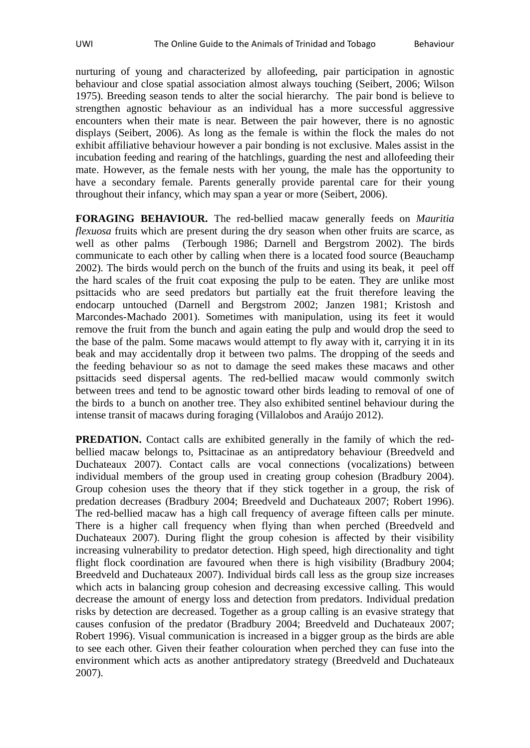nurturing of young and characterized by allofeeding, pair participation in agnostic behaviour and close spatial association almost always touching (Seibert, 2006; Wilson 1975). Breeding season tends to alter the social hierarchy. The pair bond is believe to strengthen agnostic behaviour as an individual has a more successful aggressive encounters when their mate is near. Between the pair however, there is no agnostic displays (Seibert, 2006). As long as the female is within the flock the males do not exhibit affiliative behaviour however a pair bonding is not exclusive. Males assist in the incubation feeding and rearing of the hatchlings, guarding the nest and allofeeding their mate. However, as the female nests with her young, the male has the opportunity to have a secondary female. Parents generally provide parental care for their young throughout their infancy, which may span a year or more (Seibert, 2006).

**FORAGING BEHAVIOUR.** The red-bellied macaw generally feeds on *Mauritia flexuosa* fruits which are present during the dry season when other fruits are scarce, as well as other palms (Terbough 1986; Darnell and Bergstrom 2002). The birds communicate to each other by calling when there is a located food source (Beauchamp 2002). The birds would perch on the bunch of the fruits and using its beak, it peel off the hard scales of the fruit coat exposing the pulp to be eaten. They are unlike most psittacids who are seed predators but partially eat the fruit therefore leaving the endocarp untouched (Darnell and Bergstrom 2002; Janzen 1981; Kristosh and Marcondes-Machado 2001). Sometimes with manipulation, using its feet it would remove the fruit from the bunch and again eating the pulp and would drop the seed to the base of the palm. Some macaws would attempt to fly away with it, carrying it in its beak and may accidentally drop it between two palms. The dropping of the seeds and the feeding behaviour so as not to damage the seed makes these macaws and other psittacids seed dispersal agents. The red-bellied macaw would commonly switch between trees and tend to be agnostic toward other birds leading to removal of one of the birds to a bunch on another tree. They also exhibited sentinel behaviour during the intense transit of macaws during foraging (Villalobos and Araújo 2012).

**PREDATION.** Contact calls are exhibited generally in the family of which the redbellied macaw belongs to, Psittacinae as an antipredatory behaviour (Breedveld and Duchateaux 2007). Contact calls are vocal connections (vocalizations) between individual members of the group used in creating group cohesion (Bradbury 2004). Group cohesion uses the theory that if they stick together in a group, the risk of predation decreases (Bradbury 2004; Breedveld and Duchateaux 2007; Robert 1996). The red-bellied macaw has a high call frequency of average fifteen calls per minute. There is a higher call frequency when flying than when perched (Breedveld and Duchateaux 2007). During flight the group cohesion is affected by their visibility increasing vulnerability to predator detection. High speed, high directionality and tight flight flock coordination are favoured when there is high visibility (Bradbury 2004; Breedveld and Duchateaux 2007). Individual birds call less as the group size increases which acts in balancing group cohesion and decreasing excessive calling. This would decrease the amount of energy loss and detection from predators. Individual predation risks by detection are decreased. Together as a group calling is an evasive strategy that causes confusion of the predator (Bradbury 2004; Breedveld and Duchateaux 2007; Robert 1996). Visual communication is increased in a bigger group as the birds are able to see each other. Given their feather colouration when perched they can fuse into the environment which acts as another antipredatory strategy (Breedveld and Duchateaux 2007).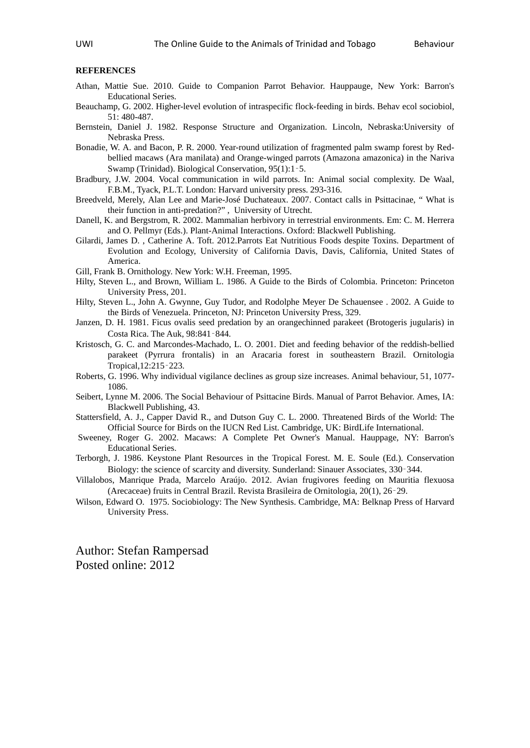## **REFERENCES**

- Athan, Mattie Sue. 2010. Guide to Companion Parrot Behavior. Hauppauge, New York: Barron's Educational Series.
- Beauchamp, G. 2002. Higher-level evolution of intraspecific flock-feeding in birds. Behav ecol sociobiol, 51: 480-487.
- Bernstein, Daniel J. 1982. Response Structure and Organization. Lincoln, Nebraska:University of Nebraska Press.
- Bonadie, W. A. and Bacon, P. R. 2000. Year-round utilization of fragmented palm swamp forest by Redbellied macaws (Ara manilata) and Orange-winged parrots (Amazona amazonica) in the Nariva Swamp (Trinidad). Biological Conservation, 95(1):1‑5.
- Bradbury, J.W. 2004. Vocal communication in wild parrots. In: Animal social complexity. De Waal, F.B.M., Tyack, P.L.T. London: Harvard university press. 293-316.
- Breedveld, Merely, Alan Lee and Marie-José Duchateaux. 2007. Contact calls in Psittacinae, " What is their function in anti-predation?" , University of Utrecht.
- Danell, K. and Bergstrom, R. 2002. Mammalian herbivory in terrestrial environments. Em: C. M. Herrera and O. Pellmyr (Eds.). Plant-Animal Interactions. Oxford: Blackwell Publishing.
- Gilardi, James D. , Catherine A. Toft. 2012.Parrots Eat Nutritious Foods despite Toxins. Department of Evolution and Ecology, University of California Davis, Davis, California, United States of America.
- Gill, Frank B. Ornithology. New York: W.H. Freeman, 1995.
- Hilty, Steven L., and Brown, William L. 1986. A Guide to the Birds of Colombia. Princeton: Princeton University Press, 201.
- Hilty, Steven L., John A. Gwynne, Guy Tudor, and Rodolphe Meyer De Schauensee . 2002. A Guide to the Birds of Venezuela. Princeton, NJ: Princeton University Press, 329.
- Janzen, D. H. 1981. Ficus ovalis seed predation by an orangechinned parakeet (Brotogeris jugularis) in Costa Rica. The Auk, 98:841‑844.
- Kristosch, G. C. and Marcondes-Machado, L. O. 2001. Diet and feeding behavior of the reddish-bellied parakeet (Pyrrura frontalis) in an Aracaria forest in southeastern Brazil. Ornitologia Tropical,12:215‑223.
- Roberts, G. 1996. Why individual vigilance declines as group size increases. Animal behaviour, 51, 1077- 1086.
- Seibert, Lynne M. 2006. The Social Behaviour of Psittacine Birds. Manual of Parrot Behavior. Ames, IA: Blackwell Publishing, 43.
- Stattersfield, A. J., Capper David R., and Dutson Guy C. L. 2000. Threatened Birds of the World: The Official Source for Birds on the IUCN Red List. Cambridge, UK: BirdLife International.
- Sweeney, Roger G. 2002. Macaws: A Complete Pet Owner's Manual. Hauppage, NY: Barron's Educational Series.
- Terborgh, J. 1986. Keystone Plant Resources in the Tropical Forest. M. E. Soule (Ed.). Conservation Biology: the science of scarcity and diversity. Sunderland: Sinauer Associates, 330‑344.
- Villalobos, Manrique Prada, Marcelo Araújo. 2012. Avian frugivores feeding on Mauritia flexuosa (Arecaceae) fruits in Central Brazil. Revista Brasileira de Ornitologia, 20(1), 26‑29.
- Wilson, Edward O. 1975. Sociobiology: The New Synthesis. Cambridge, MA: Belknap Press of Harvard University Press.

Author: Stefan Rampersad Posted online: 2012